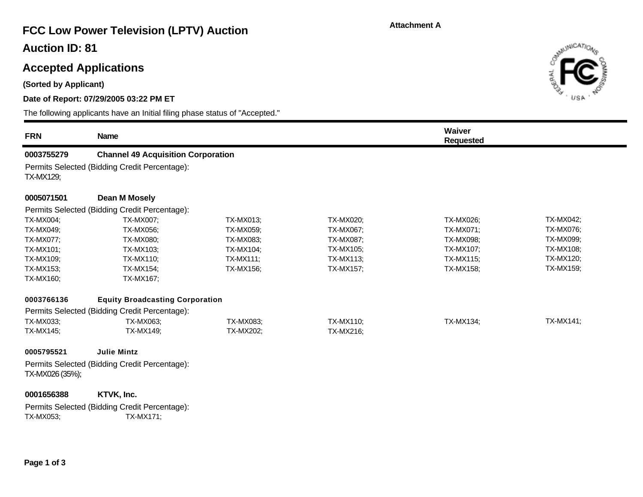#### **Attachment A**

# **FCC Low Power Television (LPTV) Auction**

### **Auction ID: 81**

### **Accepted Applications**

**(Sorted by Applicant)**

#### **Date of Report: 07/29/2005 03:22 PM ET**

The following applicants have an Initial filing phase status of "Accepted."

| <b>FRN</b>      | <b>Name</b>                                   |                  |                  | Waiver<br><b>Requested</b> |                  |  |  |  |  |
|-----------------|-----------------------------------------------|------------------|------------------|----------------------------|------------------|--|--|--|--|
| 0003755279      | <b>Channel 49 Acquisition Corporation</b>     |                  |                  |                            |                  |  |  |  |  |
| TX-MX129;       | Permits Selected (Bidding Credit Percentage): |                  |                  |                            |                  |  |  |  |  |
| 0005071501      | Dean M Mosely                                 |                  |                  |                            |                  |  |  |  |  |
|                 | Permits Selected (Bidding Credit Percentage): |                  |                  |                            |                  |  |  |  |  |
| TX-MX004;       | TX-MX007;                                     | TX-MX013;        | TX-MX020;        | TX-MX026;                  | TX-MX042;        |  |  |  |  |
| TX-MX049:       | TX-MX056;                                     | TX-MX059;        | TX-MX067;        | TX-MX071;                  | <b>TX-MX076:</b> |  |  |  |  |
| TX-MX077;       | TX-MX080;                                     | TX-MX083;        | <b>TX-MX087:</b> | TX-MX098;                  | TX-MX099;        |  |  |  |  |
| TX-MX101:       | TX-MX103;                                     | TX-MX104;        | TX-MX105;        | TX-MX107;                  | <b>TX-MX108:</b> |  |  |  |  |
| TX-MX109:       | TX-MX110;                                     | <b>TX-MX111;</b> | <b>TX-MX113:</b> | <b>TX-MX115;</b>           | <b>TX-MX120;</b> |  |  |  |  |
| TX-MX153:       | TX-MX154;                                     | TX-MX156;        | <b>TX-MX157;</b> | <b>TX-MX158;</b>           | <b>TX-MX159:</b> |  |  |  |  |
| TX-MX160;       | TX-MX167;                                     |                  |                  |                            |                  |  |  |  |  |
| 0003766136      | <b>Equity Broadcasting Corporation</b>        |                  |                  |                            |                  |  |  |  |  |
|                 | Permits Selected (Bidding Credit Percentage): |                  |                  |                            |                  |  |  |  |  |
| TX-MX033:       | TX-MX063;                                     | TX-MX083;        | TX-MX110;        | <b>TX-MX134;</b>           | TX-MX141;        |  |  |  |  |
| TX-MX145;       | TX-MX149;                                     | TX-MX202;        | TX-MX216;        |                            |                  |  |  |  |  |
| 0005795521      | <b>Julie Mintz</b>                            |                  |                  |                            |                  |  |  |  |  |
| TX-MX026 (35%); | Permits Selected (Bidding Credit Percentage): |                  |                  |                            |                  |  |  |  |  |

Permits Selected (Bidding Credit Percentage):<br>TX-MX053;<br>TX-MX171; TX-MX171;

**0001656388 KTVK, Inc.** 

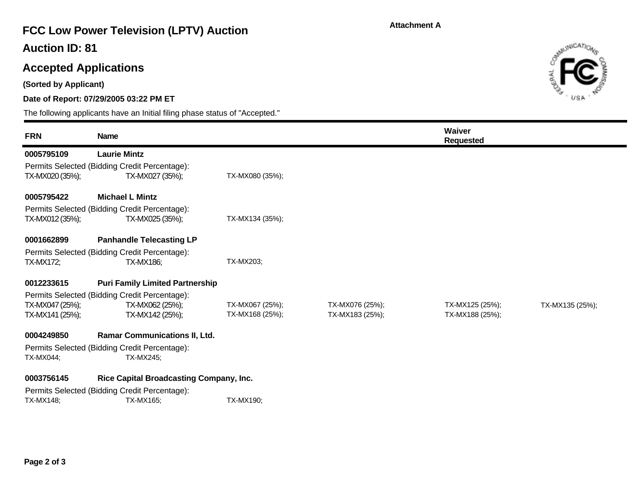#### **Attachment A**

# **FCC Low Power Television (LPTV) Auction**

### **Auction ID: 81**

## **Accepted Applications**

**(Sorted by Applicant)**

п

#### **Date of Report: 07/29/2005 03:22 PM ET**

The following applicants have an Initial filing phase status of "Accepted."

| <b>FRN</b>      | <b>Name</b>                                    |                  |                 | Waiver<br>Requested |                 |
|-----------------|------------------------------------------------|------------------|-----------------|---------------------|-----------------|
| 0005795109      | <b>Laurie Mintz</b>                            |                  |                 |                     |                 |
|                 | Permits Selected (Bidding Credit Percentage):  |                  |                 |                     |                 |
| TX-MX020 (35%); | TX-MX027 (35%);                                | TX-MX080 (35%);  |                 |                     |                 |
| 0005795422      | <b>Michael L Mintz</b>                         |                  |                 |                     |                 |
|                 | Permits Selected (Bidding Credit Percentage):  |                  |                 |                     |                 |
| TX-MX012 (35%); | TX-MX025 (35%);                                | TX-MX134 (35%);  |                 |                     |                 |
| 0001662899      | <b>Panhandle Telecasting LP</b>                |                  |                 |                     |                 |
|                 | Permits Selected (Bidding Credit Percentage):  |                  |                 |                     |                 |
| TX-MX172;       | <b>TX-MX186;</b>                               | <b>TX-MX203:</b> |                 |                     |                 |
| 0012233615      | <b>Puri Family Limited Partnership</b>         |                  |                 |                     |                 |
|                 | Permits Selected (Bidding Credit Percentage):  |                  |                 |                     |                 |
| TX-MX047 (25%); | TX-MX062 (25%);                                | TX-MX067 (25%);  | TX-MX076 (25%); | TX-MX125 (25%);     | TX-MX135 (25%); |
| TX-MX141 (25%); | TX-MX142 (25%);                                | TX-MX168 (25%);  | TX-MX183 (25%); | TX-MX188 (25%);     |                 |
| 0004249850      | <b>Ramar Communications II, Ltd.</b>           |                  |                 |                     |                 |
|                 | Permits Selected (Bidding Credit Percentage):  |                  |                 |                     |                 |
| TX-MX044;       | TX-MX245;                                      |                  |                 |                     |                 |
| 0003756145      | <b>Rice Capital Broadcasting Company, Inc.</b> |                  |                 |                     |                 |
|                 | Permits Selected (Bidding Credit Percentage):  |                  |                 |                     |                 |
| TX-MX148;       | TX-MX165;                                      | <b>TX-MX190:</b> |                 |                     |                 |